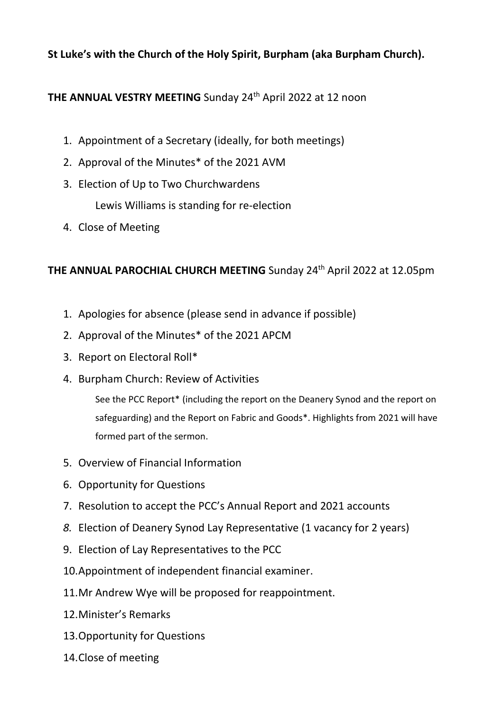## **St Luke's with the Church of the Holy Spirit, Burpham (aka Burpham Church).**

## **THE ANNUAL VESTRY MEETING** Sunday 24<sup>th</sup> April 2022 at 12 noon

- 1. Appointment of a Secretary (ideally, for both meetings)
- 2. Approval of the Minutes\* of the 2021 AVM
- 3. Election of Up to Two Churchwardens Lewis Williams is standing for re-election
- 4. Close of Meeting

## **THE ANNUAL PAROCHIAL CHURCH MEETING** Sunday 24<sup>th</sup> April 2022 at 12.05pm

- 1. Apologies for absence (please send in advance if possible)
- 2. Approval of the Minutes\* of the 2021 APCM
- 3. Report on Electoral Roll\*
- 4. Burpham Church: Review of Activities

See the PCC Report\* (including the report on the Deanery Synod and the report on safeguarding) and the Report on Fabric and Goods\*. Highlights from 2021 will have formed part of the sermon.

- 5. Overview of Financial Information
- 6. Opportunity for Questions
- 7. Resolution to accept the PCC's Annual Report and 2021 accounts
- *8.* Election of Deanery Synod Lay Representative (1 vacancy for 2 years)
- 9. Election of Lay Representatives to the PCC
- 10.Appointment of independent financial examiner.
- 11.Mr Andrew Wye will be proposed for reappointment.
- 12.Minister's Remarks
- 13.Opportunity for Questions
- 14.Close of meeting